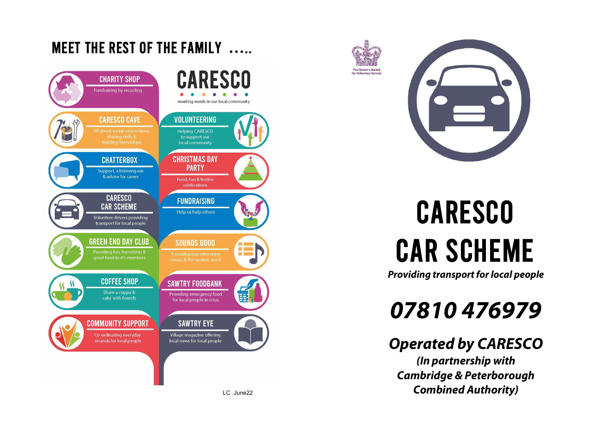





# **CARESCO CAR SCHEME**

**Providing transport for local people** 

## 07810476979

## **Operated by CARESCO**

(In partnership with **Cambridge & Peterborough Combined Authority)**